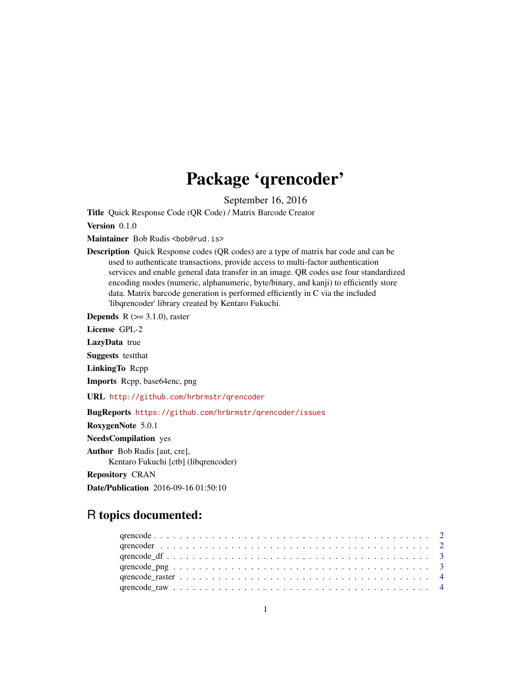## Package 'qrencoder'

September 16, 2016

Title Quick Response Code (QR Code) / Matrix Barcode Creator

Version 0.1.0

Maintainer Bob Rudis <br/>bob@rud.is>

Description Quick Response codes (QR codes) are a type of matrix bar code and can be used to authenticate transactions, provide access to multi-factor authentication services and enable general data transfer in an image. QR codes use four standardized encoding modes (numeric, alphanumeric, byte/binary, and kanji) to efficiently store data. Matrix barcode generation is performed efficiently in C via the included 'libqrencoder' library created by Kentaro Fukuchi.

**Depends** R  $(>= 3.1.0)$ , raster

License GPL-2

LazyData true

Suggests testthat

LinkingTo Rcpp

Imports Rcpp, base64enc, png

URL <http://github.com/hrbrmstr/qrencoder>

BugReports <https://github.com/hrbrmstr/qrencoder/issues>

RoxygenNote 5.0.1

NeedsCompilation yes

Author Bob Rudis [aut, cre],

Kentaro Fukuchi [ctb] (libqrencoder)

Repository CRAN

Date/Publication 2016-09-16 01:50:10

### R topics documented: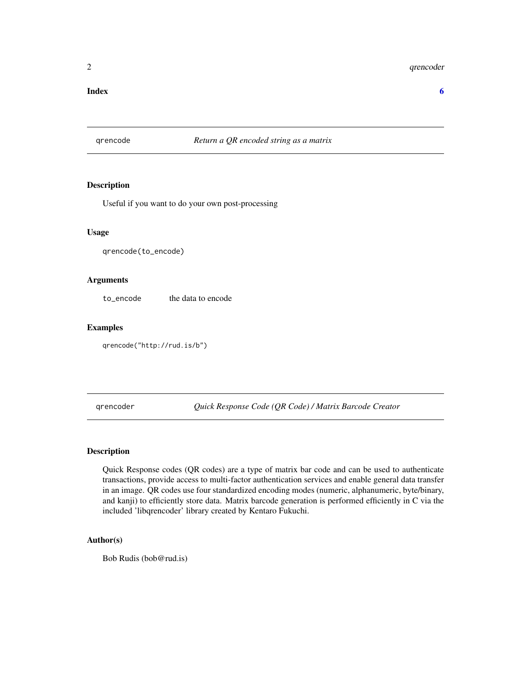#### <span id="page-1-0"></span>2 qrencoder and  $\alpha$  quantity  $\alpha$  quantity  $\alpha$  quantity  $\alpha$  quantity  $\alpha$  quantity  $\alpha$  quantity  $\alpha$  quantity  $\alpha$

#### **Index** [6](#page-5-0) **6**

#### qrencode *Return a QR encoded string as a matrix*

#### Description

Useful if you want to do your own post-processing

#### Usage

qrencode(to\_encode)

#### Arguments

to\_encode the data to encode

#### Examples

qrencode("http://rud.is/b")

qrencoder *Quick Response Code (QR Code) / Matrix Barcode Creator*

#### Description

Quick Response codes (QR codes) are a type of matrix bar code and can be used to authenticate transactions, provide access to multi-factor authentication services and enable general data transfer in an image. QR codes use four standardized encoding modes (numeric, alphanumeric, byte/binary, and kanji) to efficiently store data. Matrix barcode generation is performed efficiently in C via the included 'libqrencoder' library created by Kentaro Fukuchi.

#### Author(s)

Bob Rudis (bob@rud.is)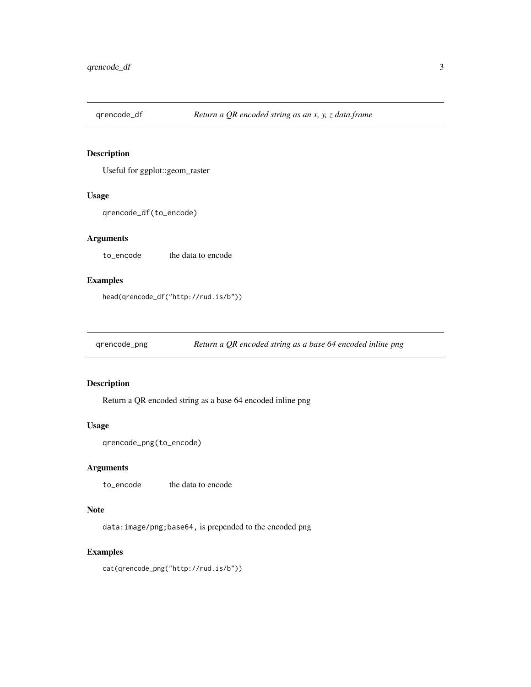<span id="page-2-0"></span>

#### Description

Useful for ggplot::geom\_raster

#### Usage

qrencode\_df(to\_encode)

#### Arguments

to\_encode the data to encode

#### Examples

head(qrencode\_df("http://rud.is/b"))

qrencode\_png *Return a QR encoded string as a base 64 encoded inline png*

#### Description

Return a QR encoded string as a base 64 encoded inline png

#### Usage

```
qrencode_png(to_encode)
```
#### Arguments

to\_encode the data to encode

#### Note

data:image/png;base64, is prepended to the encoded png

#### Examples

cat(qrencode\_png("http://rud.is/b"))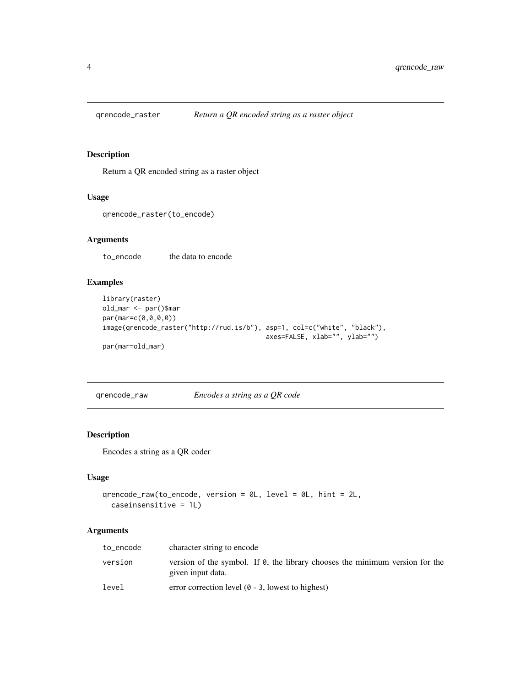<span id="page-3-0"></span>

#### Description

Return a QR encoded string as a raster object

#### Usage

qrencode\_raster(to\_encode)

#### Arguments

to\_encode the data to encode

#### Examples

```
library(raster)
old_mar <- par()$mar
par(mar=c(0,0,0,0))
image(qrencode_raster("http://rud.is/b"), asp=1, col=c("white", "black"),
                                          axes=FALSE, xlab="", ylab="")
par(mar=old_mar)
```
qrencode\_raw *Encodes a string as a QR code*

#### Description

Encodes a string as a QR coder

#### Usage

```
qrencode_raw(to_encode, version = 0L, level = 0L, hint = 2L,
 caseinsensitive = 1L)
```
#### Arguments

| to_encode | character string to encode                                                                                |
|-----------|-----------------------------------------------------------------------------------------------------------|
| version   | version of the symbol. If $\theta$ , the library chooses the minimum version for the<br>given input data. |
| level     | error correction level $(0 - 3)$ , lowest to highest)                                                     |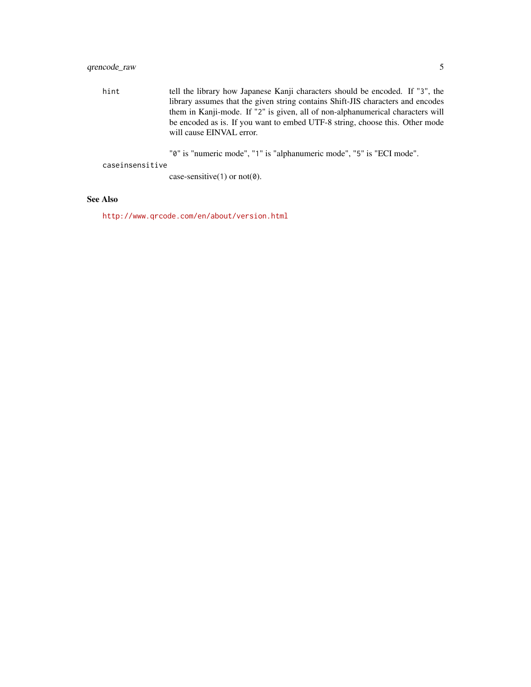#### qrencode\_raw 5

hint tell the library how Japanese Kanji characters should be encoded. If "3", the library assumes that the given string contains Shift-JIS characters and encodes them in Kanji-mode. If "2" is given, all of non-alphanumerical characters will be encoded as is. If you want to embed UTF-8 string, choose this. Other mode will cause EINVAL error.

"0" is "numeric mode", "1" is "alphanumeric mode", "5" is "ECI mode".

#### caseinsensitive

case-sensitive(1) or not( $\emptyset$ ).

#### See Also

<http://www.qrcode.com/en/about/version.html>